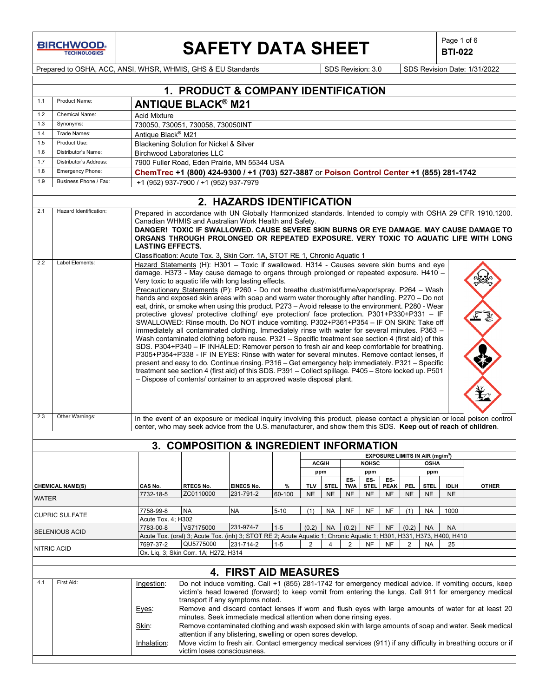**BIRCHWOOD** 

 $\mathbf{I}$ 

## **SAFETY DATA SHEET**  $\left|\begin{array}{c} \text{Page 1 of 6} \\ \text{BIT-022} \end{array}\right|$

**BTI-022**

Prepared to OSHA, ACC, ANSI, WHSR, WHMIS, GHS & EU Standards Superinted Superinted SDS Revision: 3.0 SDS Revision Date: 1/31/2022

|              |                                                                                                                                                              |                         | 1. PRODUCT & COMPANY IDENTIFICATION                                                                                                                                                                                                                                                                                                                                                                                                                                                                                                                                                                                                                                                                                                                                                                                                                                                                                                                                                                                                                                                                                                                                                                                                                                                                                                                                                                                                              |                                                                   |                |                         |                          |                         |                          |                                             |                         |                          |                          |                                                                                                                                                                                                                |
|--------------|--------------------------------------------------------------------------------------------------------------------------------------------------------------|-------------------------|--------------------------------------------------------------------------------------------------------------------------------------------------------------------------------------------------------------------------------------------------------------------------------------------------------------------------------------------------------------------------------------------------------------------------------------------------------------------------------------------------------------------------------------------------------------------------------------------------------------------------------------------------------------------------------------------------------------------------------------------------------------------------------------------------------------------------------------------------------------------------------------------------------------------------------------------------------------------------------------------------------------------------------------------------------------------------------------------------------------------------------------------------------------------------------------------------------------------------------------------------------------------------------------------------------------------------------------------------------------------------------------------------------------------------------------------------|-------------------------------------------------------------------|----------------|-------------------------|--------------------------|-------------------------|--------------------------|---------------------------------------------|-------------------------|--------------------------|--------------------------|----------------------------------------------------------------------------------------------------------------------------------------------------------------------------------------------------------------|
| 1.1          | Product Name:                                                                                                                                                |                         | <b>ANTIQUE BLACK® M21</b>                                                                                                                                                                                                                                                                                                                                                                                                                                                                                                                                                                                                                                                                                                                                                                                                                                                                                                                                                                                                                                                                                                                                                                                                                                                                                                                                                                                                                        |                                                                   |                |                         |                          |                         |                          |                                             |                         |                          |                          |                                                                                                                                                                                                                |
| 1.2          | Chemical Name:                                                                                                                                               | <b>Acid Mixture</b>     |                                                                                                                                                                                                                                                                                                                                                                                                                                                                                                                                                                                                                                                                                                                                                                                                                                                                                                                                                                                                                                                                                                                                                                                                                                                                                                                                                                                                                                                  |                                                                   |                |                         |                          |                         |                          |                                             |                         |                          |                          |                                                                                                                                                                                                                |
| 1.3          | Synonyms:                                                                                                                                                    |                         | 730050, 730051, 730058, 730050INT                                                                                                                                                                                                                                                                                                                                                                                                                                                                                                                                                                                                                                                                                                                                                                                                                                                                                                                                                                                                                                                                                                                                                                                                                                                                                                                                                                                                                |                                                                   |                |                         |                          |                         |                          |                                             |                         |                          |                          |                                                                                                                                                                                                                |
| 1.4          | Trade Names:                                                                                                                                                 | Antique Black® M21      |                                                                                                                                                                                                                                                                                                                                                                                                                                                                                                                                                                                                                                                                                                                                                                                                                                                                                                                                                                                                                                                                                                                                                                                                                                                                                                                                                                                                                                                  |                                                                   |                |                         |                          |                         |                          |                                             |                         |                          |                          |                                                                                                                                                                                                                |
| 1.5          | Product Use:                                                                                                                                                 |                         | Blackening Solution for Nickel & Silver                                                                                                                                                                                                                                                                                                                                                                                                                                                                                                                                                                                                                                                                                                                                                                                                                                                                                                                                                                                                                                                                                                                                                                                                                                                                                                                                                                                                          |                                                                   |                |                         |                          |                         |                          |                                             |                         |                          |                          |                                                                                                                                                                                                                |
| 1.6          | Distributor's Name:                                                                                                                                          |                         | <b>Birchwood Laboratories LLC</b>                                                                                                                                                                                                                                                                                                                                                                                                                                                                                                                                                                                                                                                                                                                                                                                                                                                                                                                                                                                                                                                                                                                                                                                                                                                                                                                                                                                                                |                                                                   |                |                         |                          |                         |                          |                                             |                         |                          |                          |                                                                                                                                                                                                                |
| 1.7          | Distributor's Address:                                                                                                                                       |                         | 7900 Fuller Road, Eden Prairie, MN 55344 USA                                                                                                                                                                                                                                                                                                                                                                                                                                                                                                                                                                                                                                                                                                                                                                                                                                                                                                                                                                                                                                                                                                                                                                                                                                                                                                                                                                                                     |                                                                   |                |                         |                          |                         |                          |                                             |                         |                          |                          |                                                                                                                                                                                                                |
| 1.8          | Emergency Phone:                                                                                                                                             |                         | ChemTrec +1 (800) 424-9300 / +1 (703) 527-3887 or Poison Control Center +1 (855) 281-1742                                                                                                                                                                                                                                                                                                                                                                                                                                                                                                                                                                                                                                                                                                                                                                                                                                                                                                                                                                                                                                                                                                                                                                                                                                                                                                                                                        |                                                                   |                |                         |                          |                         |                          |                                             |                         |                          |                          |                                                                                                                                                                                                                |
| 1.9          | Business Phone / Fax:                                                                                                                                        |                         | +1 (952) 937-7900 / +1 (952) 937-7979                                                                                                                                                                                                                                                                                                                                                                                                                                                                                                                                                                                                                                                                                                                                                                                                                                                                                                                                                                                                                                                                                                                                                                                                                                                                                                                                                                                                            |                                                                   |                |                         |                          |                         |                          |                                             |                         |                          |                          |                                                                                                                                                                                                                |
|              |                                                                                                                                                              |                         |                                                                                                                                                                                                                                                                                                                                                                                                                                                                                                                                                                                                                                                                                                                                                                                                                                                                                                                                                                                                                                                                                                                                                                                                                                                                                                                                                                                                                                                  |                                                                   |                |                         |                          |                         |                          |                                             |                         |                          |                          |                                                                                                                                                                                                                |
| 2.1          | Hazard Identification:                                                                                                                                       |                         |                                                                                                                                                                                                                                                                                                                                                                                                                                                                                                                                                                                                                                                                                                                                                                                                                                                                                                                                                                                                                                                                                                                                                                                                                                                                                                                                                                                                                                                  | 2. HAZARDS IDENTIFICATION                                         |                |                         |                          |                         |                          |                                             |                         |                          |                          | Prepared in accordance with UN Globally Harmonized standards. Intended to comply with OSHA 29 CFR 1910.1200.                                                                                                   |
|              |                                                                                                                                                              | <b>LASTING EFFECTS.</b> | Canadian WHMIS and Australian Work Health and Safety.<br>Classification: Acute Tox. 3, Skin Corr. 1A, STOT RE 1, Chronic Aquatic 1                                                                                                                                                                                                                                                                                                                                                                                                                                                                                                                                                                                                                                                                                                                                                                                                                                                                                                                                                                                                                                                                                                                                                                                                                                                                                                               |                                                                   |                |                         |                          |                         |                          |                                             |                         |                          |                          | DANGER! TOXIC IF SWALLOWED. CAUSE SEVERE SKIN BURNS OR EYE DAMAGE. MAY CAUSE DAMAGE TO<br>ORGANS THROUGH PROLONGED OR REPEATED EXPOSURE. VERY TOXIC TO AQUATIC LIFE WITH LONG                                  |
| 2.2          | Label Elements:                                                                                                                                              |                         | Hazard Statements (H): H301 - Toxic if swallowed. H314 - Causes severe skin burns and eye<br>damage. H373 - May cause damage to organs through prolonged or repeated exposure. H410 -<br>Very toxic to aquatic life with long lasting effects.<br>Precautionary Statements (P): P260 - Do not breathe dust/mist/fume/vapor/spray. P264 - Wash<br>hands and exposed skin areas with soap and warm water thoroughly after handling. P270 - Do not<br>eat, drink, or smoke when using this product. P273 - Avoid release to the environment. P280 - Wear<br>protective gloves/ protective clothing/ eye protection/ face protection. P301+P330+P331 - IF<br>SWALLOWED: Rinse mouth. Do NOT induce vomiting. P302+P361+P354 - IF ON SKIN: Take off<br>immediately all contaminated clothing. Immediately rinse with water for several minutes. P363 -<br>Wash contaminated clothing before reuse. P321 - Specific treatment see section 4 (first aid) of this<br>SDS. P304+P340 - IF INHALED: Remover person to fresh air and keep comfortable for breathing.<br>P305+P354+P338 - IF IN EYES: Rinse with water for several minutes. Remove contact lenses, if<br>present and easy to do. Continue rinsing. P316 - Get emergency help immediately. P321 - Specific<br>treatment see section 4 (first aid) of this SDS. P391 - Collect spillage. P405 - Store locked up. P501<br>- Dispose of contents/ container to an approved waste disposal plant. |                                                                   |                |                         |                          |                         |                          |                                             |                         |                          |                          |                                                                                                                                                                                                                |
| 2.3          | Other Warnings:                                                                                                                                              |                         | center, who may seek advice from the U.S. manufacturer, and show them this SDS. Keep out of reach of children.                                                                                                                                                                                                                                                                                                                                                                                                                                                                                                                                                                                                                                                                                                                                                                                                                                                                                                                                                                                                                                                                                                                                                                                                                                                                                                                                   |                                                                   |                |                         |                          |                         |                          |                                             |                         |                          |                          | In the event of an exposure or medical inquiry involving this product, please contact a physician or local poison control                                                                                      |
|              |                                                                                                                                                              |                         | 3. COMPOSITION & INGREDIENT INFORMATION                                                                                                                                                                                                                                                                                                                                                                                                                                                                                                                                                                                                                                                                                                                                                                                                                                                                                                                                                                                                                                                                                                                                                                                                                                                                                                                                                                                                          |                                                                   |                |                         |                          |                         |                          |                                             |                         |                          |                          |                                                                                                                                                                                                                |
|              |                                                                                                                                                              |                         |                                                                                                                                                                                                                                                                                                                                                                                                                                                                                                                                                                                                                                                                                                                                                                                                                                                                                                                                                                                                                                                                                                                                                                                                                                                                                                                                                                                                                                                  |                                                                   |                |                         |                          |                         |                          |                                             |                         |                          |                          |                                                                                                                                                                                                                |
|              |                                                                                                                                                              |                         |                                                                                                                                                                                                                                                                                                                                                                                                                                                                                                                                                                                                                                                                                                                                                                                                                                                                                                                                                                                                                                                                                                                                                                                                                                                                                                                                                                                                                                                  |                                                                   |                |                         | <b>ACGIH</b>             |                         | <b>NOHSC</b>             | EXPOSURE LIMITS IN AIR (mg/m <sup>3</sup> ) |                         | <b>OSHA</b>              |                          |                                                                                                                                                                                                                |
|              |                                                                                                                                                              |                         |                                                                                                                                                                                                                                                                                                                                                                                                                                                                                                                                                                                                                                                                                                                                                                                                                                                                                                                                                                                                                                                                                                                                                                                                                                                                                                                                                                                                                                                  |                                                                   |                |                         | ppm                      |                         | ppm                      |                                             |                         | ppm                      |                          |                                                                                                                                                                                                                |
|              |                                                                                                                                                              |                         |                                                                                                                                                                                                                                                                                                                                                                                                                                                                                                                                                                                                                                                                                                                                                                                                                                                                                                                                                                                                                                                                                                                                                                                                                                                                                                                                                                                                                                                  |                                                                   |                |                         |                          | ES-                     | ES-                      | ES-                                         |                         |                          |                          |                                                                                                                                                                                                                |
|              | <b>CHEMICAL NAME(S)</b>                                                                                                                                      | CAS No.<br>7732-18-5    | RTECS No.<br>ZC0110000                                                                                                                                                                                                                                                                                                                                                                                                                                                                                                                                                                                                                                                                                                                                                                                                                                                                                                                                                                                                                                                                                                                                                                                                                                                                                                                                                                                                                           | <b>EINECS No.</b><br>231-791-2                                    | $\%$<br>60-100 | <b>TLV</b><br><b>NE</b> | <b>STEL</b><br><b>NE</b> | <b>TWA</b><br><b>NF</b> | <b>STEL</b><br><b>NF</b> | <b>PEAK</b><br><b>NF</b>                    | <b>PEL</b><br><b>NE</b> | <b>STEL</b><br><b>NE</b> | <b>IDLH</b><br><b>NE</b> | <b>OTHER</b>                                                                                                                                                                                                   |
| <b>WATER</b> |                                                                                                                                                              |                         |                                                                                                                                                                                                                                                                                                                                                                                                                                                                                                                                                                                                                                                                                                                                                                                                                                                                                                                                                                                                                                                                                                                                                                                                                                                                                                                                                                                                                                                  |                                                                   |                |                         |                          |                         |                          |                                             |                         |                          |                          |                                                                                                                                                                                                                |
|              | <b>CUPRIC SULFATE</b>                                                                                                                                        | 7758-99-8               | <b>NA</b>                                                                                                                                                                                                                                                                                                                                                                                                                                                                                                                                                                                                                                                                                                                                                                                                                                                                                                                                                                                                                                                                                                                                                                                                                                                                                                                                                                                                                                        | NA                                                                | $5 - 10$       | (1)                     | NA                       | <b>NF</b>               | NF                       | <b>NF</b>                                   | (1)                     | <b>NA</b>                | 1000                     |                                                                                                                                                                                                                |
|              |                                                                                                                                                              | Acute Tox. 4; H302      |                                                                                                                                                                                                                                                                                                                                                                                                                                                                                                                                                                                                                                                                                                                                                                                                                                                                                                                                                                                                                                                                                                                                                                                                                                                                                                                                                                                                                                                  |                                                                   |                |                         |                          |                         |                          |                                             |                         |                          |                          |                                                                                                                                                                                                                |
|              | <b>SELENIOUS ACID</b>                                                                                                                                        | 7783-00-8               | VS7175000                                                                                                                                                                                                                                                                                                                                                                                                                                                                                                                                                                                                                                                                                                                                                                                                                                                                                                                                                                                                                                                                                                                                                                                                                                                                                                                                                                                                                                        | 231-974-7                                                         | $1-5$          | (0.2)                   | <b>NA</b>                | (0.2)                   | <b>NF</b>                | <b>NF</b>                                   | (0.2)                   | <b>NA</b>                | <b>NA</b>                |                                                                                                                                                                                                                |
|              |                                                                                                                                                              | 7697-37-2               | Acute Tox. (oral) 3; Acute Tox. (inh) 3; STOT RE 2; Acute Aquatic 1; Chronic Aquatic 1; H301, H331, H373, H400, H410<br>QU5775000                                                                                                                                                                                                                                                                                                                                                                                                                                                                                                                                                                                                                                                                                                                                                                                                                                                                                                                                                                                                                                                                                                                                                                                                                                                                                                                | 231-714-2                                                         | $1-5$          | 2                       | 4                        | $\overline{2}$          | <b>NF</b>                | <b>NF</b>                                   | $\overline{2}$          | <b>NA</b>                | 25                       |                                                                                                                                                                                                                |
|              | NITRIC ACID                                                                                                                                                  |                         | Ox. Liq. 3; Skin Corr. 1A; H272, H314                                                                                                                                                                                                                                                                                                                                                                                                                                                                                                                                                                                                                                                                                                                                                                                                                                                                                                                                                                                                                                                                                                                                                                                                                                                                                                                                                                                                            |                                                                   |                |                         |                          |                         |                          |                                             |                         |                          |                          |                                                                                                                                                                                                                |
|              |                                                                                                                                                              |                         |                                                                                                                                                                                                                                                                                                                                                                                                                                                                                                                                                                                                                                                                                                                                                                                                                                                                                                                                                                                                                                                                                                                                                                                                                                                                                                                                                                                                                                                  |                                                                   |                |                         |                          |                         |                          |                                             |                         |                          |                          |                                                                                                                                                                                                                |
|              |                                                                                                                                                              |                         |                                                                                                                                                                                                                                                                                                                                                                                                                                                                                                                                                                                                                                                                                                                                                                                                                                                                                                                                                                                                                                                                                                                                                                                                                                                                                                                                                                                                                                                  | <b>4. FIRST AID MEASURES</b>                                      |                |                         |                          |                         |                          |                                             |                         |                          |                          |                                                                                                                                                                                                                |
| 4.1          | First Aid:                                                                                                                                                   | Ingestion:              |                                                                                                                                                                                                                                                                                                                                                                                                                                                                                                                                                                                                                                                                                                                                                                                                                                                                                                                                                                                                                                                                                                                                                                                                                                                                                                                                                                                                                                                  | transport if any symptoms noted.                                  |                |                         |                          |                         |                          |                                             |                         |                          |                          | Do not induce vomiting. Call +1 (855) 281-1742 for emergency medical advice. If vomiting occurs, keep<br>victim's head lowered (forward) to keep vomit from entering the lungs. Call 911 for emergency medical |
|              |                                                                                                                                                              | Eyes:                   |                                                                                                                                                                                                                                                                                                                                                                                                                                                                                                                                                                                                                                                                                                                                                                                                                                                                                                                                                                                                                                                                                                                                                                                                                                                                                                                                                                                                                                                  | minutes. Seek immediate medical attention when done rinsing eyes. |                |                         |                          |                         |                          |                                             |                         |                          |                          | Remove and discard contact lenses if worn and flush eyes with large amounts of water for at least 20                                                                                                           |
|              |                                                                                                                                                              | Skin:                   |                                                                                                                                                                                                                                                                                                                                                                                                                                                                                                                                                                                                                                                                                                                                                                                                                                                                                                                                                                                                                                                                                                                                                                                                                                                                                                                                                                                                                                                  | attention if any blistering, swelling or open sores develop.      |                |                         |                          |                         |                          |                                             |                         |                          |                          | Remove contaminated clothing and wash exposed skin with large amounts of soap and water. Seek medical                                                                                                          |
|              | Move victim to fresh air. Contact emergency medical services (911) if any difficulty in breathing occurs or if<br>Inhalation:<br>victim loses consciousness. |                         |                                                                                                                                                                                                                                                                                                                                                                                                                                                                                                                                                                                                                                                                                                                                                                                                                                                                                                                                                                                                                                                                                                                                                                                                                                                                                                                                                                                                                                                  |                                                                   |                |                         |                          |                         |                          |                                             |                         |                          |                          |                                                                                                                                                                                                                |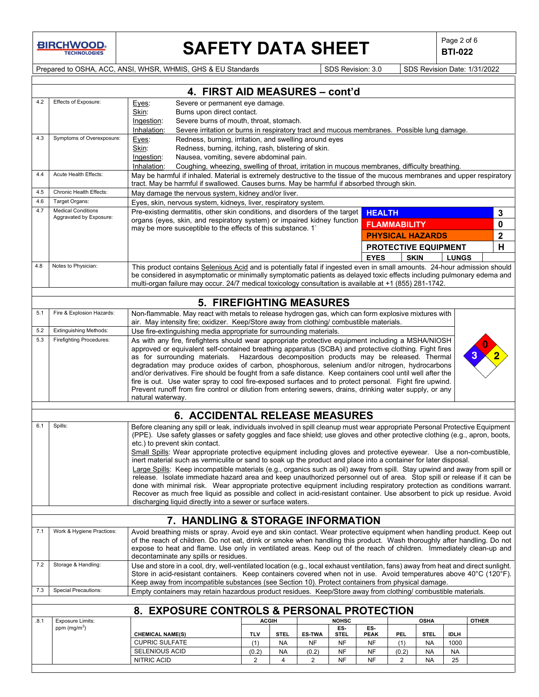

# **SAFETY DATA SHEET**  $\left|\begin{array}{cc} \text{Page 2 of 6} \\ \text{BTI-022} \end{array}\right|$

**BTI-022**

Prepared to OSHA, ACC, ANSI, WHSR, WHMIS, GHS & EU Standards Superinted Superinted SDS Revision: 3.0 SDS Revision Date: 1/31/2022

|      | 4. FIRST AID MEASURES - cont'd                                                                                                                                                                                                                 |                                                                                                                     |                                                                                                                                                                                                                                                  |            |                |               |                        |                        |                             |                        |                 |              |             |
|------|------------------------------------------------------------------------------------------------------------------------------------------------------------------------------------------------------------------------------------------------|---------------------------------------------------------------------------------------------------------------------|--------------------------------------------------------------------------------------------------------------------------------------------------------------------------------------------------------------------------------------------------|------------|----------------|---------------|------------------------|------------------------|-----------------------------|------------------------|-----------------|--------------|-------------|
| 4.2  | Effects of Exposure:                                                                                                                                                                                                                           | Eyes:                                                                                                               | Severe or permanent eye damage.                                                                                                                                                                                                                  |            |                |               |                        |                        |                             |                        |                 |              |             |
|      |                                                                                                                                                                                                                                                | Skin:                                                                                                               | Burns upon direct contact.                                                                                                                                                                                                                       |            |                |               |                        |                        |                             |                        |                 |              |             |
|      |                                                                                                                                                                                                                                                |                                                                                                                     | Severe burns of mouth, throat, stomach.<br>Ingestion:<br>Severe irritation or burns in respiratory tract and mucous membranes. Possible lung damage.                                                                                             |            |                |               |                        |                        |                             |                        |                 |              |             |
|      |                                                                                                                                                                                                                                                | Inhalation:                                                                                                         |                                                                                                                                                                                                                                                  |            |                |               |                        |                        |                             |                        |                 |              |             |
| 4.3  | Symptoms of Overexposure:                                                                                                                                                                                                                      | Eyes:                                                                                                               | Redness, burning, irritation, and swelling around eyes                                                                                                                                                                                           |            |                |               |                        |                        |                             |                        |                 |              |             |
|      |                                                                                                                                                                                                                                                | Skin:                                                                                                               | Redness, burning, itching, rash, blistering of skin.                                                                                                                                                                                             |            |                |               |                        |                        |                             |                        |                 |              |             |
|      |                                                                                                                                                                                                                                                | Ingestion:<br>Inhalation:                                                                                           | Nausea, vomiting, severe abdominal pain.<br>Coughing, wheezing, swelling of throat, irritation in mucous membranes, difficulty breathing.                                                                                                        |            |                |               |                        |                        |                             |                        |                 |              |             |
| 4.4  | Acute Health Effects:                                                                                                                                                                                                                          |                                                                                                                     | May be harmful if inhaled. Material is extremely destructive to the tissue of the mucous membranes and upper respiratory                                                                                                                         |            |                |               |                        |                        |                             |                        |                 |              |             |
|      |                                                                                                                                                                                                                                                |                                                                                                                     | tract. May be harmful if swallowed. Causes burns. May be harmful if absorbed through skin.                                                                                                                                                       |            |                |               |                        |                        |                             |                        |                 |              |             |
| 4.5  | Chronic Health Effects:                                                                                                                                                                                                                        |                                                                                                                     | May damage the nervous system, kidney and/or liver.                                                                                                                                                                                              |            |                |               |                        |                        |                             |                        |                 |              |             |
| 4.6  | Target Organs:                                                                                                                                                                                                                                 |                                                                                                                     | Eyes, skin, nervous system, kidneys, liver, respiratory system.                                                                                                                                                                                  |            |                |               |                        |                        |                             |                        |                 |              |             |
| 4.7  | <b>Medical Conditions</b><br>Aggravated by Exposure:                                                                                                                                                                                           |                                                                                                                     | Pre-existing dermatitis, other skin conditions, and disorders of the target                                                                                                                                                                      |            |                |               |                        | <b>HEALTH</b>          |                             |                        |                 |              | 3           |
|      |                                                                                                                                                                                                                                                |                                                                                                                     | organs (eyes, skin, and respiratory system) or impaired kidney function                                                                                                                                                                          |            |                |               |                        |                        | <b>FLAMMABILITY</b>         |                        |                 |              | 0           |
|      |                                                                                                                                                                                                                                                |                                                                                                                     | may be more susceptible to the effects of this substance. 1                                                                                                                                                                                      |            |                |               |                        |                        | <b>PHYSICAL HAZARDS</b>     |                        |                 |              | $\mathbf 2$ |
|      |                                                                                                                                                                                                                                                |                                                                                                                     |                                                                                                                                                                                                                                                  |            |                |               |                        |                        | <b>PROTECTIVE EQUIPMENT</b> |                        |                 |              | н           |
|      |                                                                                                                                                                                                                                                |                                                                                                                     |                                                                                                                                                                                                                                                  |            |                |               |                        | <b>EYES</b>            | <b>SKIN</b>                 |                        | <b>LUNGS</b>    |              |             |
| 4.8  | Notes to Physician:                                                                                                                                                                                                                            |                                                                                                                     | This product contains Selenious Acid and is potentially fatal if ingested even in small amounts. 24-hour admission should                                                                                                                        |            |                |               |                        |                        |                             |                        |                 |              |             |
|      |                                                                                                                                                                                                                                                |                                                                                                                     | be considered in asymptomatic or minimally symptomatic patients as delayed toxic effects including pulmonary edema and                                                                                                                           |            |                |               |                        |                        |                             |                        |                 |              |             |
|      |                                                                                                                                                                                                                                                |                                                                                                                     | multi-organ failure may occur. 24/7 medical toxicology consultation is available at +1 (855) 281-1742.                                                                                                                                           |            |                |               |                        |                        |                             |                        |                 |              |             |
|      |                                                                                                                                                                                                                                                |                                                                                                                     |                                                                                                                                                                                                                                                  |            |                |               |                        |                        |                             |                        |                 |              |             |
|      |                                                                                                                                                                                                                                                |                                                                                                                     | <b>5. FIREFIGHTING MEASURES</b>                                                                                                                                                                                                                  |            |                |               |                        |                        |                             |                        |                 |              |             |
| 5.1  | Fire & Explosion Hazards:                                                                                                                                                                                                                      |                                                                                                                     | Non-flammable. May react with metals to release hydrogen gas, which can form explosive mixtures with                                                                                                                                             |            |                |               |                        |                        |                             |                        |                 |              |             |
|      |                                                                                                                                                                                                                                                |                                                                                                                     | air. May intensity fire; oxidizer. Keep/Store away from clothing/ combustible materials.                                                                                                                                                         |            |                |               |                        |                        |                             |                        |                 |              |             |
| 5.2  | <b>Extinguishing Methods:</b>                                                                                                                                                                                                                  |                                                                                                                     | Use fire-extinguishing media appropriate for surrounding materials.                                                                                                                                                                              |            |                |               |                        |                        |                             |                        |                 |              |             |
| 5.3  | <b>Firefighting Procedures:</b>                                                                                                                                                                                                                |                                                                                                                     | As with any fire, firefighters should wear appropriate protective equipment including a MSHA/NIOSH                                                                                                                                               |            |                |               |                        |                        |                             |                        |                 |              |             |
|      |                                                                                                                                                                                                                                                |                                                                                                                     | approved or equivalent self-contained breathing apparatus (SCBA) and protective clothing. Fight fires<br>as for surrounding materials. Hazardous decomposition products may be released. Thermal                                                 |            |                |               |                        |                        |                             |                        |                 |              |             |
|      |                                                                                                                                                                                                                                                |                                                                                                                     | degradation may produce oxides of carbon, phosphorous, selenium and/or nitrogen, hydrocarbons                                                                                                                                                    |            |                |               |                        |                        |                             |                        |                 |              |             |
|      |                                                                                                                                                                                                                                                |                                                                                                                     | and/or derivatives. Fire should be fought from a safe distance. Keep containers cool until well after the                                                                                                                                        |            |                |               |                        |                        |                             |                        |                 |              |             |
|      |                                                                                                                                                                                                                                                |                                                                                                                     | fire is out. Use water spray to cool fire-exposed surfaces and to protect personal. Fight fire upwind.                                                                                                                                           |            |                |               |                        |                        |                             |                        |                 |              |             |
|      |                                                                                                                                                                                                                                                |                                                                                                                     | Prevent runoff from fire control or dilution from entering sewers, drains, drinking water supply, or any                                                                                                                                         |            |                |               |                        |                        |                             |                        |                 |              |             |
|      |                                                                                                                                                                                                                                                | natural waterway.                                                                                                   |                                                                                                                                                                                                                                                  |            |                |               |                        |                        |                             |                        |                 |              |             |
|      |                                                                                                                                                                                                                                                |                                                                                                                     | 6. ACCIDENTAL RELEASE MEASURES                                                                                                                                                                                                                   |            |                |               |                        |                        |                             |                        |                 |              |             |
| 6.1  | Spills:<br>Before cleaning any spill or leak, individuals involved in spill cleanup must wear appropriate Personal Protective Equipment                                                                                                        |                                                                                                                     |                                                                                                                                                                                                                                                  |            |                |               |                        |                        |                             |                        |                 |              |             |
|      | (PPE). Use safety glasses or safety goggles and face shield; use gloves and other protective clothing (e.g., apron, boots,                                                                                                                     |                                                                                                                     |                                                                                                                                                                                                                                                  |            |                |               |                        |                        |                             |                        |                 |              |             |
|      | etc.) to prevent skin contact.                                                                                                                                                                                                                 |                                                                                                                     |                                                                                                                                                                                                                                                  |            |                |               |                        |                        |                             |                        |                 |              |             |
|      |                                                                                                                                                                                                                                                | Small Spills: Wear appropriate protective equipment including gloves and protective eyewear. Use a non-combustible, |                                                                                                                                                                                                                                                  |            |                |               |                        |                        |                             |                        |                 |              |             |
|      | inert material such as vermiculite or sand to soak up the product and place into a container for later disposal.<br>Large Spills: Keep incompatible materials (e.g., organics such as oil) away from spill. Stay upwind and away from spill or |                                                                                                                     |                                                                                                                                                                                                                                                  |            |                |               |                        |                        |                             |                        |                 |              |             |
|      | release. Isolate immediate hazard area and keep unauthorized personnel out of area. Stop spill or release if it can be                                                                                                                         |                                                                                                                     |                                                                                                                                                                                                                                                  |            |                |               |                        |                        |                             |                        |                 |              |             |
|      |                                                                                                                                                                                                                                                |                                                                                                                     | done with minimal risk. Wear appropriate protective equipment including respiratory protection as conditions warrant.                                                                                                                            |            |                |               |                        |                        |                             |                        |                 |              |             |
|      |                                                                                                                                                                                                                                                |                                                                                                                     | Recover as much free liquid as possible and collect in acid-resistant container. Use absorbent to pick up residue. Avoid                                                                                                                         |            |                |               |                        |                        |                             |                        |                 |              |             |
|      |                                                                                                                                                                                                                                                |                                                                                                                     | discharging liquid directly into a sewer or surface waters.                                                                                                                                                                                      |            |                |               |                        |                        |                             |                        |                 |              |             |
|      |                                                                                                                                                                                                                                                |                                                                                                                     | 7. HANDLING & STORAGE INFORMATION                                                                                                                                                                                                                |            |                |               |                        |                        |                             |                        |                 |              |             |
| 7.1  | Work & Hygiene Practices:                                                                                                                                                                                                                      |                                                                                                                     |                                                                                                                                                                                                                                                  |            |                |               |                        |                        |                             |                        |                 |              |             |
|      |                                                                                                                                                                                                                                                |                                                                                                                     | Avoid breathing mists or spray. Avoid eye and skin contact. Wear protective equipment when handling product. Keep out<br>of the reach of children. Do not eat, drink or smoke when handling this product. Wash thoroughly after handling. Do not |            |                |               |                        |                        |                             |                        |                 |              |             |
|      |                                                                                                                                                                                                                                                |                                                                                                                     | expose to heat and flame. Use only in ventilated areas. Keep out of the reach of children. Immediately clean-up and                                                                                                                              |            |                |               |                        |                        |                             |                        |                 |              |             |
|      |                                                                                                                                                                                                                                                |                                                                                                                     | decontaminate any spills or residues.                                                                                                                                                                                                            |            |                |               |                        |                        |                             |                        |                 |              |             |
| 7.2  | Storage & Handling:                                                                                                                                                                                                                            |                                                                                                                     | Use and store in a cool, dry, well-ventilated location (e.g., local exhaust ventilation, fans) away from heat and direct sunlight.                                                                                                               |            |                |               |                        |                        |                             |                        |                 |              |             |
|      |                                                                                                                                                                                                                                                |                                                                                                                     | Store in acid-resistant containers. Keep containers covered when not in use. Avoid temperatures above 40°C (120°F).                                                                                                                              |            |                |               |                        |                        |                             |                        |                 |              |             |
|      |                                                                                                                                                                                                                                                |                                                                                                                     | Keep away from incompatible substances (see Section 10). Protect containers from physical damage.                                                                                                                                                |            |                |               |                        |                        |                             |                        |                 |              |             |
| 7.3  | <b>Special Precautions:</b>                                                                                                                                                                                                                    |                                                                                                                     | Empty containers may retain hazardous product residues. Keep/Store away from clothing/ combustible materials.                                                                                                                                    |            |                |               |                        |                        |                             |                        |                 |              |             |
|      |                                                                                                                                                                                                                                                |                                                                                                                     | 8. EXPOSURE CONTROLS & PERSONAL PROTECTION                                                                                                                                                                                                       |            |                |               |                        |                        |                             |                        |                 |              |             |
| .8.1 | <b>Exposure Limits:</b>                                                                                                                                                                                                                        |                                                                                                                     |                                                                                                                                                                                                                                                  |            | <b>ACGIH</b>   |               | <b>NOHSC</b>           |                        |                             | <b>OSHA</b>            |                 | <b>OTHER</b> |             |
|      | ppm $(mg/m3)$                                                                                                                                                                                                                                  |                                                                                                                     |                                                                                                                                                                                                                                                  |            |                |               | ES-                    | ES-                    |                             |                        |                 |              |             |
|      |                                                                                                                                                                                                                                                | <b>CHEMICAL NAME(S)</b>                                                                                             |                                                                                                                                                                                                                                                  | <b>TLV</b> | <b>STEL</b>    | <b>ES-TWA</b> | <b>STEL</b>            | <b>PEAK</b>            | PEL                         | <b>STEL</b>            | <b>IDLH</b>     |              |             |
|      |                                                                                                                                                                                                                                                | <b>CUPRIC SULFATE</b>                                                                                               |                                                                                                                                                                                                                                                  | (1)        | NA             | <b>NF</b>     | NF                     | NF                     | (1)                         | <b>NA</b>              | 1000            |              |             |
|      |                                                                                                                                                                                                                                                | SELENIOUS ACID<br>NITRIC ACID                                                                                       |                                                                                                                                                                                                                                                  | (0.2)<br>2 | <b>NA</b><br>4 | (0.2)<br>2    | <b>NF</b><br><b>NF</b> | <b>NF</b><br><b>NF</b> | (0.2)<br>$\mathbf{2}$       | <b>NA</b><br><b>NA</b> | <b>NA</b><br>25 |              |             |
|      |                                                                                                                                                                                                                                                |                                                                                                                     |                                                                                                                                                                                                                                                  |            |                |               |                        |                        |                             |                        |                 |              |             |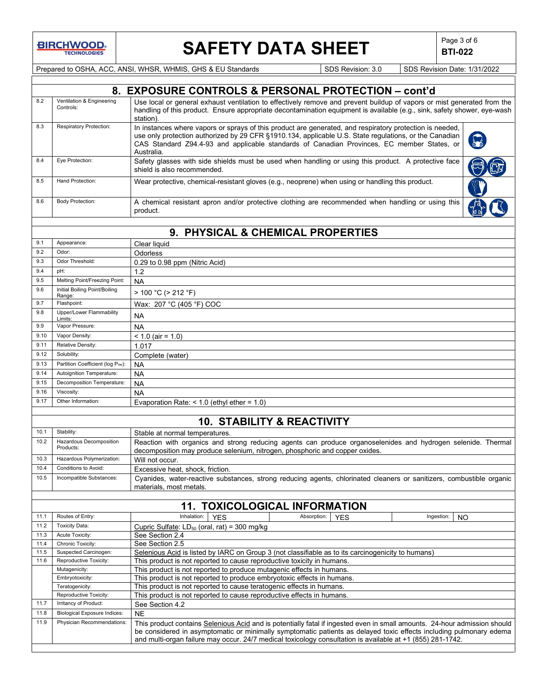**BIRCHWOOD** 

## SAFETY DATA SHEET **Page 3 of 6** Page 3 of 6

**BTI-022**

Prepared to OSHA, ACC, ANSI, WHSR, WHMIS, GHS & EU Standards Superiority SDS Revision: 3.0 SDS Revision Date: 1/31/2022

|              |                                                                   | 8. EXPOSURE CONTROLS & PERSONAL PROTECTION - cont'd                                                                                                                                                                                                                                                                            |
|--------------|-------------------------------------------------------------------|--------------------------------------------------------------------------------------------------------------------------------------------------------------------------------------------------------------------------------------------------------------------------------------------------------------------------------|
| 8.2          | Ventilation & Engineering<br>Controls:                            | Use local or general exhaust ventilation to effectively remove and prevent buildup of vapors or mist generated from the<br>handling of this product. Ensure appropriate decontamination equipment is available (e.g., sink, safety shower, eye-wash<br>station).                                                               |
| 8.3          | <b>Respiratory Protection:</b>                                    | In instances where vapors or sprays of this product are generated, and respiratory protection is needed,<br>use only protection authorized by 29 CFR §1910.134, applicable U.S. State regulations, or the Canadian<br>CAS Standard Z94.4-93 and applicable standards of Canadian Provinces, EC member States, or<br>Australia. |
| 8.4          | Eye Protection:                                                   | Safety glasses with side shields must be used when handling or using this product. A protective face<br>shield is also recommended.                                                                                                                                                                                            |
| 8.5          | Hand Protection:                                                  | Wear protective, chemical-resistant gloves (e.g., neoprene) when using or handling this product.                                                                                                                                                                                                                               |
| 8.6          | <b>Body Protection:</b>                                           | A chemical resistant apron and/or protective clothing are recommended when handling or using this<br>product.                                                                                                                                                                                                                  |
|              |                                                                   |                                                                                                                                                                                                                                                                                                                                |
|              |                                                                   | 9. PHYSICAL & CHEMICAL PROPERTIES                                                                                                                                                                                                                                                                                              |
| 9.1          | Appearance:                                                       | Clear liquid                                                                                                                                                                                                                                                                                                                   |
| 9.2          | Odor:                                                             | Odorless                                                                                                                                                                                                                                                                                                                       |
| 9.3          | Odor Threshold:                                                   | 0.29 to 0.98 ppm (Nitric Acid)                                                                                                                                                                                                                                                                                                 |
| 9.4          | pH:                                                               | 1.2                                                                                                                                                                                                                                                                                                                            |
| 9.5          | Melting Point/Freezing Point:                                     | <b>NA</b>                                                                                                                                                                                                                                                                                                                      |
| 9.6          | Initial Boiling Point/Boiling<br>Range:                           | $> 100 °C$ ( $> 212 °F$ )                                                                                                                                                                                                                                                                                                      |
| 9.7          | Flashpoint:                                                       | Wax: 207 °C (405 °F) COC                                                                                                                                                                                                                                                                                                       |
| 9.8          | Upper/Lower Flammability                                          | <b>NA</b>                                                                                                                                                                                                                                                                                                                      |
| 9.9          | Limits:<br>Vapor Pressure:                                        | <b>NA</b>                                                                                                                                                                                                                                                                                                                      |
| 9.10         | Vapor Density:                                                    | $< 1.0$ (air = 1.0)                                                                                                                                                                                                                                                                                                            |
| 9.11         | Relative Density:                                                 | 1.017                                                                                                                                                                                                                                                                                                                          |
| 9.12         | Solubility:                                                       | Complete (water)                                                                                                                                                                                                                                                                                                               |
| 9.13         | Partition Coefficient (log Pow):                                  | <b>NA</b>                                                                                                                                                                                                                                                                                                                      |
| 9.14         | Autoignition Temperature:                                         | <b>NA</b>                                                                                                                                                                                                                                                                                                                      |
| 9.15         | Decomposition Temperature:                                        | <b>NA</b>                                                                                                                                                                                                                                                                                                                      |
| 9.16         | Viscosity:                                                        | <b>NA</b>                                                                                                                                                                                                                                                                                                                      |
| 9.17         | Other Information:                                                | Evaporation Rate: $<$ 1.0 (ethyl ether = 1.0)                                                                                                                                                                                                                                                                                  |
|              |                                                                   |                                                                                                                                                                                                                                                                                                                                |
|              |                                                                   | <b>10. STABILITY &amp; REACTIVITY</b>                                                                                                                                                                                                                                                                                          |
| 10.1         | Stability:                                                        | Stable at normal temperatures.                                                                                                                                                                                                                                                                                                 |
| 10.2         | Hazardous Decomposition<br>Products:<br>Hazardous Polymerization: | Reaction with organics and strong reducing agents can produce organoselenides and hydrogen selenide. Thermal<br>decomposition may produce selenium, nitrogen, phosphoric and copper oxides.                                                                                                                                    |
| 10.3<br>10.4 | Conditions to Avoid:                                              | Will not occur.                                                                                                                                                                                                                                                                                                                |
|              |                                                                   | Excessive heat, shock, friction.                                                                                                                                                                                                                                                                                               |
| 10.5         | Incompatible Substances:                                          | Cyanides, water-reactive substances, strong reducing agents, chlorinated cleaners or sanitizers, combustible organic<br>materials, most metals.                                                                                                                                                                                |
|              |                                                                   | <b>11. TOXICOLOGICAL INFORMATION</b>                                                                                                                                                                                                                                                                                           |
| 11.1         | Routes of Entry:                                                  | Inhalation:<br>Absorption:<br>Ingestion:<br><b>YES</b><br><b>YES</b><br>NO                                                                                                                                                                                                                                                     |
| 11.2         | <b>Toxicity Data:</b>                                             | Cupric Sulfate: $LD_{50}$ (oral, rat) = 300 mg/kg                                                                                                                                                                                                                                                                              |
| 11.3         | Acute Toxicity:                                                   | See Section 2.4                                                                                                                                                                                                                                                                                                                |
| 11.4         | Chronic Toxicity:                                                 | See Section 2.5                                                                                                                                                                                                                                                                                                                |
| 11.5         | Suspected Carcinogen:                                             | Selenious Acid is listed by IARC on Group 3 (not classifiable as to its carcinogenicity to humans)                                                                                                                                                                                                                             |
| 11.6         | Reproductive Toxicity:                                            | This product is not reported to cause reproductive toxicity in humans.                                                                                                                                                                                                                                                         |
|              | Mutagenicity:                                                     | This product is not reported to produce mutagenic effects in humans.                                                                                                                                                                                                                                                           |
|              | Embryotoxicity:<br>Teratogenicity:                                | This product is not reported to produce embryotoxic effects in humans.<br>This product is not reported to cause teratogenic effects in humans.                                                                                                                                                                                 |
|              | Reproductive Toxicity:                                            | This product is not reported to cause reproductive effects in humans.                                                                                                                                                                                                                                                          |
| 11.7         | Irritancy of Product:                                             | See Section 4.2                                                                                                                                                                                                                                                                                                                |
| 11.8         | <b>Biological Exposure Indices:</b>                               | <b>NE</b>                                                                                                                                                                                                                                                                                                                      |
| 11.9         | Physician Recommendations:                                        | This product contains Selenious Acid and is potentially fatal if ingested even in small amounts. 24-hour admission should                                                                                                                                                                                                      |
|              |                                                                   | be considered in asymptomatic or minimally symptomatic patients as delayed toxic effects including pulmonary edema<br>and multi-organ failure may occur. 24/7 medical toxicology consultation is available at +1 (855) 281-1742.                                                                                               |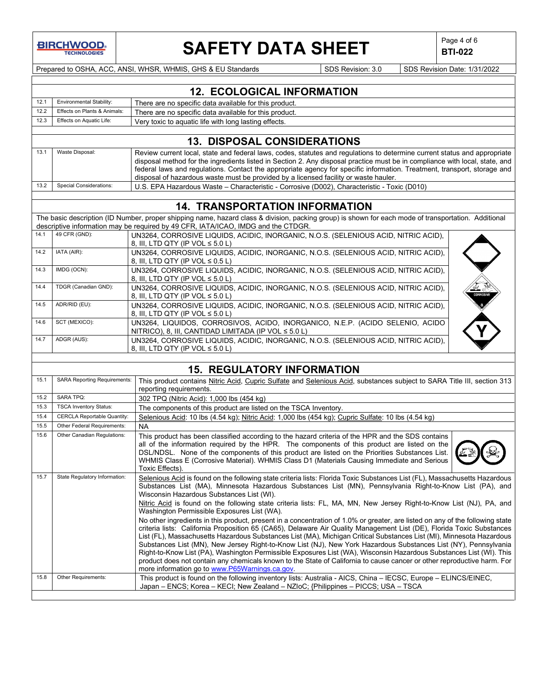**BIRCHWOOD TECHNOLOGIES** 

## **SAFETY DATA SHEET**  $\left|\begin{array}{c} \text{Page 4 of 6} \\ \text{BTI-022} \end{array}\right|$

**BTI-022**

Prepared to OSHA, ACC, ANSI, WHSR, WHMIS, GHS & EU Standards Superinted SDS Revision: 3.0 SDS Revision Date: 1/31/2022

|      | <b>12. ECOLOGICAL INFORMATION</b>                                                         |                                                        |  |  |  |
|------|-------------------------------------------------------------------------------------------|--------------------------------------------------------|--|--|--|
| 12.1 | <b>Environmental Stability:</b><br>There are no specific data available for this product. |                                                        |  |  |  |
| 12.2 | Effects on Plants & Animals:                                                              | There are no specific data available for this product. |  |  |  |
| 12.3 | Effects on Aquatic Life:<br>Very toxic to aquatic life with long lasting effects.         |                                                        |  |  |  |
|      |                                                                                           |                                                        |  |  |  |
|      | <b>13. DISPOSAL CONSIDERATIONS</b>                                                        |                                                        |  |  |  |

|      |                                | <u>TU. DIUF OUAL CONUIDLIVATIONU</u>                                                                                                                                                                                                                     |  |
|------|--------------------------------|----------------------------------------------------------------------------------------------------------------------------------------------------------------------------------------------------------------------------------------------------------|--|
| 13.1 | Waste Disposal:                | Review current local, state and federal laws, codes, statutes and regulations to determine current status and appropriate<br>disposal method for the ingredients listed in Section 2. Any disposal practice must be in compliance with local, state, and |  |
|      |                                | federal laws and regulations. Contact the appropriate agency for specific information. Treatment, transport, storage and<br>disposal of hazardous waste must be provided by a licensed facility or waste hauler.                                         |  |
| 13.2 | <b>Special Considerations:</b> | U.S. EPA Hazardous Waste – Characteristic - Corrosive (D002). Characteristic - Toxic (D010)                                                                                                                                                              |  |

### **14. TRANSPORTATION INFORMATION**

The basic description (ID Number, proper shipping name, hazard class & division, packing group) is shown for each mode of transportation. Additional descriptive information may be required by 49 CFR, IATA/ICAO, IMDG and the CTDGR.

| 14.1 | 49 CFR (GND):        | UN3264, CORROSIVE LIQUIDS, ACIDIC, INORGANIC, N.O.S. (SELENIOUS ACID, NITRIC ACID),<br>8. III. LTD QTY (IP VOL $\leq 5.0$ L)               |  |
|------|----------------------|--------------------------------------------------------------------------------------------------------------------------------------------|--|
| 14.2 | IATA (AIR):          | UN3264, CORROSIVE LIQUIDS, ACIDIC, INORGANIC, N.O.S. (SELENIOUS ACID, NITRIC ACID),<br>8. III. LTD QTY (IP VOL $\leq 0.5$ L)               |  |
| 14.3 | IMDG (OCN):          | UN3264, CORROSIVE LIQUIDS, ACIDIC, INORGANIC, N.O.S. (SELENIOUS ACID, NITRIC ACID),<br>8. III. LTD QTY (IP VOL $\leq 5.0$ L)               |  |
| 14.4 | TDGR (Canadian GND): | UN3264, CORROSIVE LIQUIDS, ACIDIC, INORGANIC, N.O.S. (SELENIOUS ACID, NITRIC ACID),<br>8. III. LTD QTY (IP VOL $\leq 5.0$ L)               |  |
| 14.5 | ADR/RID (EU):        | UN3264, CORROSIVE LIQUIDS, ACIDIC, INORGANIC, N.O.S. (SELENIOUS ACID, NITRIC ACID),<br>8, III, LTD QTY (IP VOL $\leq 5.0$ L)               |  |
| 14.6 | SCT (MEXICO):        | UN3264, LIQUIDOS, CORROSIVOS, ACIDO, INORGANICO, N.E.P. (ACIDO SELENIO, ACIDO<br>NITRICO), 8, III, CANTIDAD LIMITADA (IP VOL $\leq 5.0$ L) |  |
| 14.7 | ADGR (AUS):          | UN3264, CORROSIVE LIQUIDS, ACIDIC, INORGANIC, N.O.S. (SELENIOUS ACID, NITRIC ACID),<br>8, III, LTD QTY (IP VOL $\leq 5.0$ L)               |  |

### **15. REGULATORY INFORMATION**

| 15.1 | <b>SARA Reporting Requirements:</b> | This product contains Nitric Acid, Cupric Sulfate and Selenious Acid, substances subject to SARA Title III, section 313                                                                                                                                                                                                                                                                                                                                                                                                                                                                                                                                                                                                                                                                                                                                                                                                                                                                                                                                                                                                                                                                                                                                             |
|------|-------------------------------------|---------------------------------------------------------------------------------------------------------------------------------------------------------------------------------------------------------------------------------------------------------------------------------------------------------------------------------------------------------------------------------------------------------------------------------------------------------------------------------------------------------------------------------------------------------------------------------------------------------------------------------------------------------------------------------------------------------------------------------------------------------------------------------------------------------------------------------------------------------------------------------------------------------------------------------------------------------------------------------------------------------------------------------------------------------------------------------------------------------------------------------------------------------------------------------------------------------------------------------------------------------------------|
|      |                                     | reporting requirements.                                                                                                                                                                                                                                                                                                                                                                                                                                                                                                                                                                                                                                                                                                                                                                                                                                                                                                                                                                                                                                                                                                                                                                                                                                             |
| 15.2 | <b>SARA TPQ:</b>                    | 302 TPQ (Nitric Acid): 1,000 lbs (454 kg)                                                                                                                                                                                                                                                                                                                                                                                                                                                                                                                                                                                                                                                                                                                                                                                                                                                                                                                                                                                                                                                                                                                                                                                                                           |
| 15.3 | <b>TSCA Inventory Status:</b>       | The components of this product are listed on the TSCA Inventory.                                                                                                                                                                                                                                                                                                                                                                                                                                                                                                                                                                                                                                                                                                                                                                                                                                                                                                                                                                                                                                                                                                                                                                                                    |
| 15.4 | <b>CERCLA Reportable Quantity:</b>  | Selenious Acid: 10 lbs (4.54 kg); Nitric Acid: 1,000 lbs (454 kg); Cupric Sulfate: 10 lbs (4.54 kg)                                                                                                                                                                                                                                                                                                                                                                                                                                                                                                                                                                                                                                                                                                                                                                                                                                                                                                                                                                                                                                                                                                                                                                 |
| 15.5 | Other Federal Requirements:         | <b>NA</b>                                                                                                                                                                                                                                                                                                                                                                                                                                                                                                                                                                                                                                                                                                                                                                                                                                                                                                                                                                                                                                                                                                                                                                                                                                                           |
| 15.6 | Other Canadian Regulations:         | This product has been classified according to the hazard criteria of the HPR and the SDS contains<br>all of the information required by the HPR. The components of this product are listed on the<br>DSL/NDSL. None of the components of this product are listed on the Priorities Substances List.<br>WHMIS Class E (Corrosive Material). WHMIS Class D1 (Materials Causing Immediate and Serious<br>Toxic Effects).                                                                                                                                                                                                                                                                                                                                                                                                                                                                                                                                                                                                                                                                                                                                                                                                                                               |
| 15.7 | State Regulatory Information:       | Selenious Acid is found on the following state criteria lists: Florida Toxic Substances List (FL), Massachusetts Hazardous<br>Substances List (MA), Minnesota Hazardous Substances List (MN), Pennsylvania Right-to-Know List (PA), and<br>Wisconsin Hazardous Substances List (WI).<br>Nitric Acid is found on the following state criteria lists: FL, MA, MN, New Jersey Right-to-Know List (NJ), PA, and<br>Washington Permissible Exposures List (WA).<br>No other ingredients in this product, present in a concentration of 1.0% or greater, are listed on any of the following state<br>criteria lists: California Proposition 65 (CA65), Delaware Air Quality Management List (DE), Florida Toxic Substances<br>List (FL), Massachusetts Hazardous Substances List (MA), Michigan Critical Substances List (MI), Minnesota Hazardous<br>Substances List (MN), New Jersey Right-to-Know List (NJ), New York Hazardous Substances List (NY), Pennsylvania<br>Right-to-Know List (PA), Washington Permissible Exposures List (WA), Wisconsin Hazardous Substances List (WI). This<br>product does not contain any chemicals known to the State of California to cause cancer or other reproductive harm. For<br>more information go to www.P65Warnings.ca.gov. |
| 15.8 | Other Requirements:                 | This product is found on the following inventory lists: Australia - AICS, China – IECSC, Europe – ELINCS/EINEC,<br>Japan – ENCS; Korea – KECI; New Zealand – NZIoC; {Philippines – PICCS; USA – TSCA                                                                                                                                                                                                                                                                                                                                                                                                                                                                                                                                                                                                                                                                                                                                                                                                                                                                                                                                                                                                                                                                |
|      |                                     |                                                                                                                                                                                                                                                                                                                                                                                                                                                                                                                                                                                                                                                                                                                                                                                                                                                                                                                                                                                                                                                                                                                                                                                                                                                                     |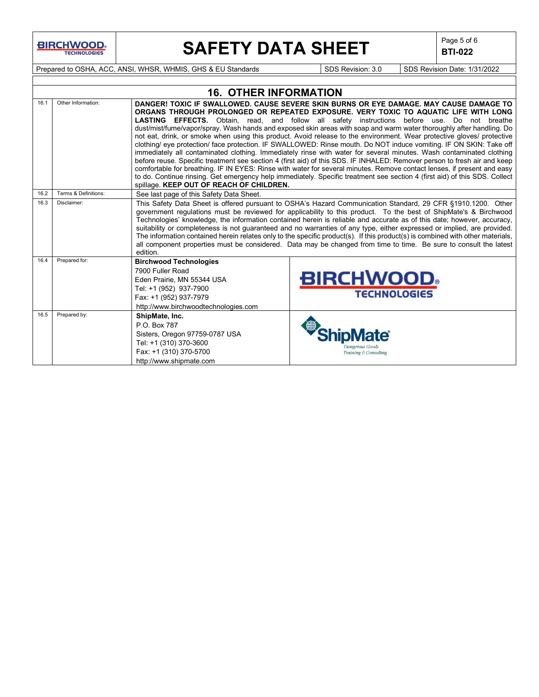**BIRCHWOOD** 

# **SAFETY DATA SHEET**  $\left|\begin{array}{c} \text{Page 5 of 6} \\ \text{BIT-022} \end{array}\right|$

**BTI-022**

Prepared to OSHA, ACC, ANSI, WHSR, WHMIS, GHS & EU Standards Superinted SDS Revision: 3.0 SDS Revision Date: 1/31/2022

|      | <b>16. OTHER INFORMATION</b> |                                                                                                                                                                                                                                                                                                                                                                                                                                                                                                                                                                                                                                                                                                                                                                                                                                                                                                                                                                                                                                                                                                                                                                                                               |                                          |  |  |  |  |  |
|------|------------------------------|---------------------------------------------------------------------------------------------------------------------------------------------------------------------------------------------------------------------------------------------------------------------------------------------------------------------------------------------------------------------------------------------------------------------------------------------------------------------------------------------------------------------------------------------------------------------------------------------------------------------------------------------------------------------------------------------------------------------------------------------------------------------------------------------------------------------------------------------------------------------------------------------------------------------------------------------------------------------------------------------------------------------------------------------------------------------------------------------------------------------------------------------------------------------------------------------------------------|------------------------------------------|--|--|--|--|--|
| 16.1 | Other Information:           | DANGER! TOXIC IF SWALLOWED, CAUSE SEVERE SKIN BURNS OR EYE DAMAGE, MAY CAUSE DAMAGE TO<br>ORGANS THROUGH PROLONGED OR REPEATED EXPOSURE. VERY TOXIC TO AQUATIC LIFE WITH LONG<br>LASTING EFFECTS. Obtain, read, and follow all safety instructions before use. Do not breathe<br>dust/mist/fume/vapor/spray. Wash hands and exposed skin areas with soap and warm water thoroughly after handling. Do<br>not eat, drink, or smoke when using this product. Avoid release to the environment. Wear protective gloves/ protective<br>clothing/ eye protection/ face protection. IF SWALLOWED: Rinse mouth. Do NOT induce vomiting. IF ON SKIN: Take off<br>immediately all contaminated clothing. Immediately rinse with water for several minutes. Wash contaminated clothing<br>before reuse. Specific treatment see section 4 (first aid) of this SDS. IF INHALED: Remover person to fresh air and keep<br>comfortable for breathing. IF IN EYES: Rinse with water for several minutes. Remove contact lenses, if present and easy<br>to do. Continue rinsing. Get emergency help immediately. Specific treatment see section 4 (first aid) of this SDS. Collect<br>spillage. KEEP OUT OF REACH OF CHILDREN. |                                          |  |  |  |  |  |
| 16.2 | Terms & Definitions:         | See last page of this Safety Data Sheet.                                                                                                                                                                                                                                                                                                                                                                                                                                                                                                                                                                                                                                                                                                                                                                                                                                                                                                                                                                                                                                                                                                                                                                      |                                          |  |  |  |  |  |
| 16.3 | Disclaimer:                  | This Safety Data Sheet is offered pursuant to OSHA's Hazard Communication Standard, 29 CFR §1910.1200. Other<br>government regulations must be reviewed for applicability to this product. To the best of ShipMate's & Birchwood<br>Technologies' knowledge, the information contained herein is reliable and accurate as of this date; however, accuracy,<br>suitability or completeness is not quaranteed and no warranties of any type, either expressed or implied, are provided.<br>The information contained herein relates only to the specific product(s). If this product(s) is combined with other materials,<br>all component properties must be considered. Data may be changed from time to time. Be sure to consult the latest<br>edition.                                                                                                                                                                                                                                                                                                                                                                                                                                                      |                                          |  |  |  |  |  |
| 16.4 | Prepared for:                | <b>Birchwood Technologies</b><br>7900 Fuller Road<br>Eden Prairie, MN 55344 USA<br>Tel: +1 (952) 937-7900<br>Fax: +1 (952) 937-7979<br>http://www.birchwoodtechnologies.com                                                                                                                                                                                                                                                                                                                                                                                                                                                                                                                                                                                                                                                                                                                                                                                                                                                                                                                                                                                                                                   | <b>BIRCHWOOD</b><br><b>TECHNOLOGIES</b>  |  |  |  |  |  |
| 16.5 | Prepared by:                 | ShipMate, Inc.<br>P.O. Box 787<br>Sisters, Oregon 97759-0787 USA<br>Tel: +1 (310) 370-3600<br>Fax: +1 (310) 370-5700<br>http://www.shipmate.com                                                                                                                                                                                                                                                                                                                                                                                                                                                                                                                                                                                                                                                                                                                                                                                                                                                                                                                                                                                                                                                               | Dangerous Goods<br>Training & Consulting |  |  |  |  |  |